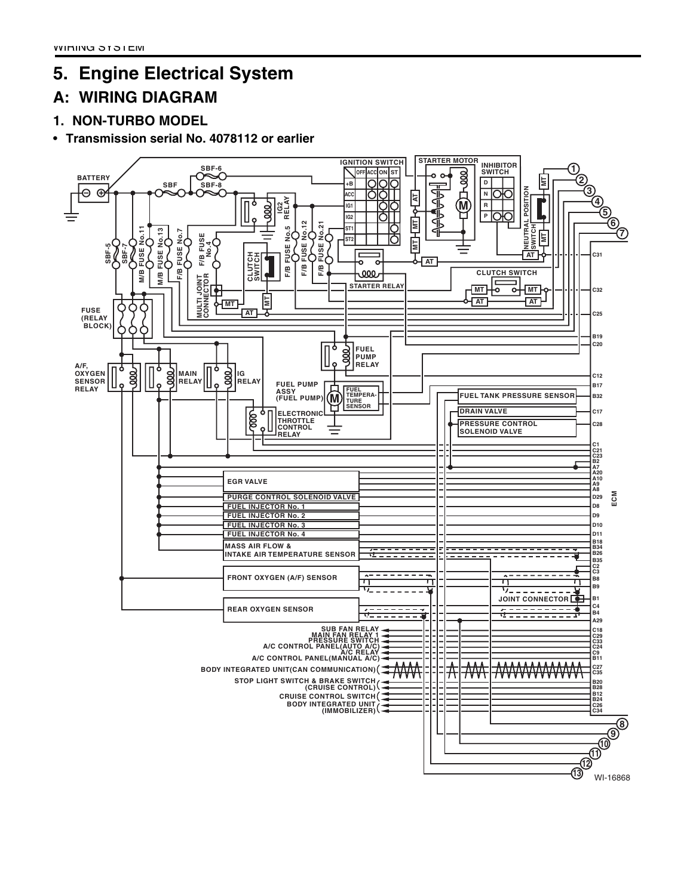## **5. Engine Electrical System**

## **A: WIRING DIAGRAM**

**1. NON-TURBO MODEL**

## • **Transmission serial No. 4078112 or earlier**

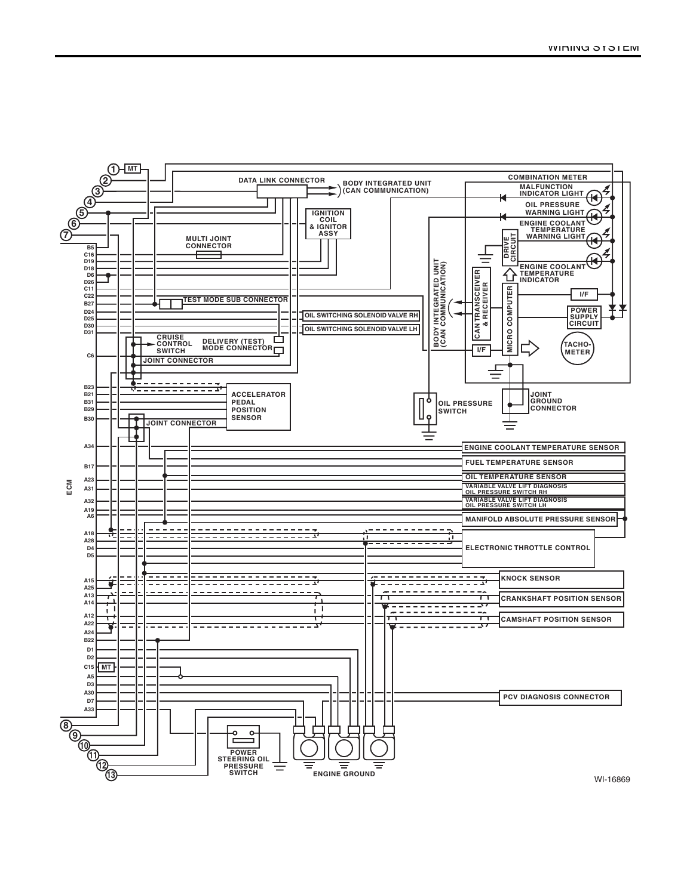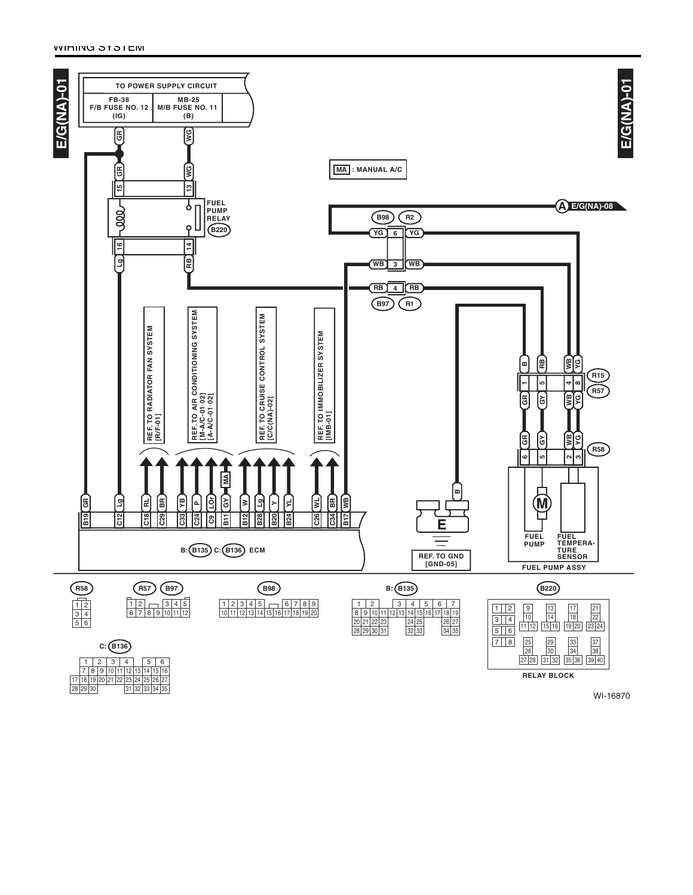25 | 26 | 27<br>33 | 34 | 35

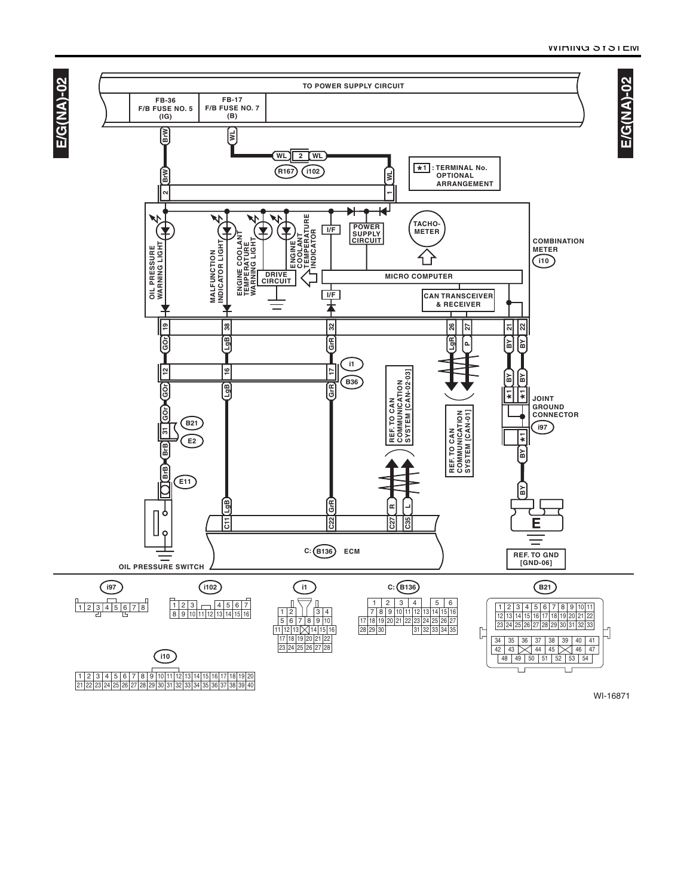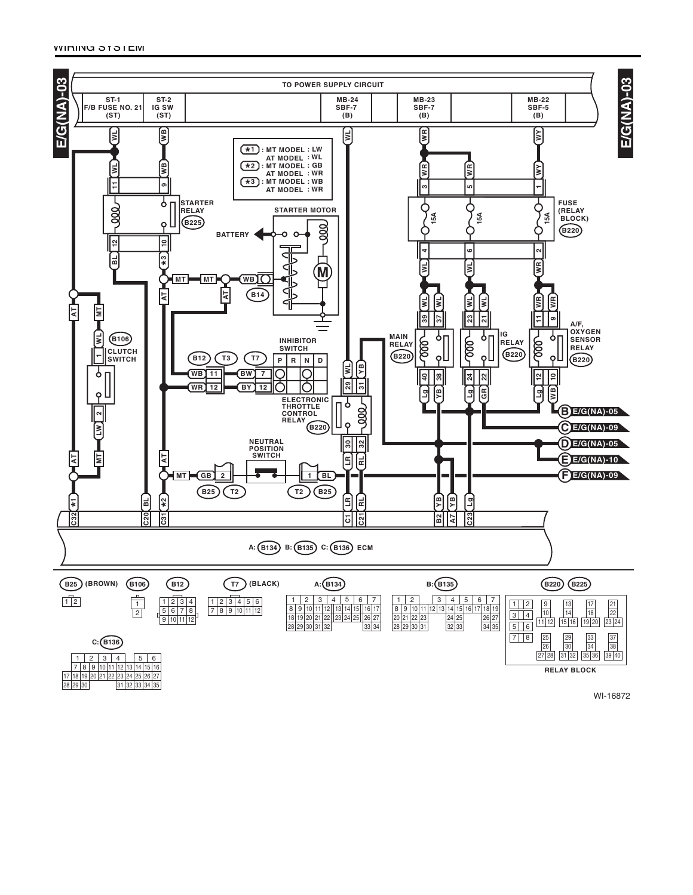

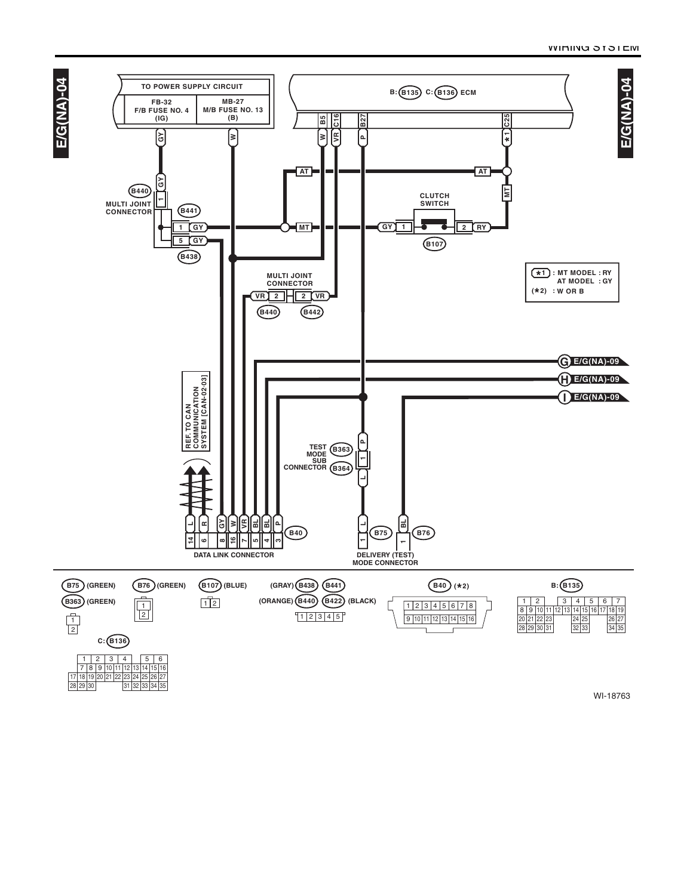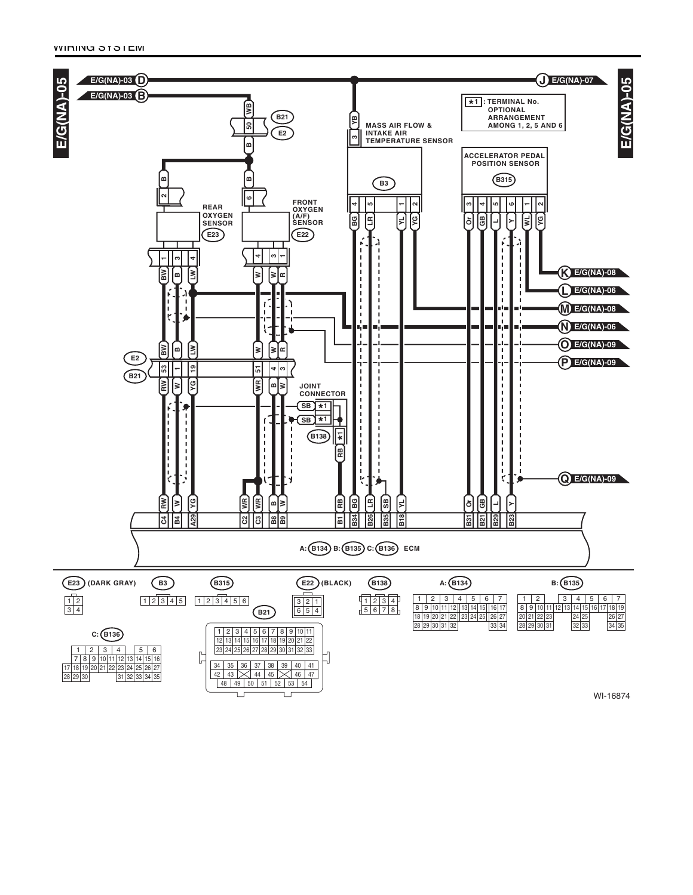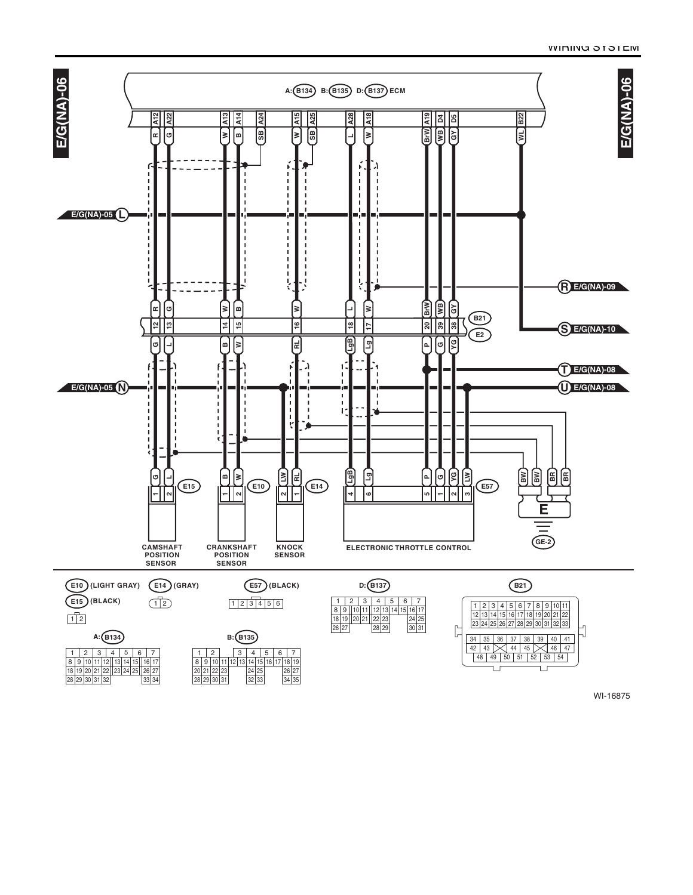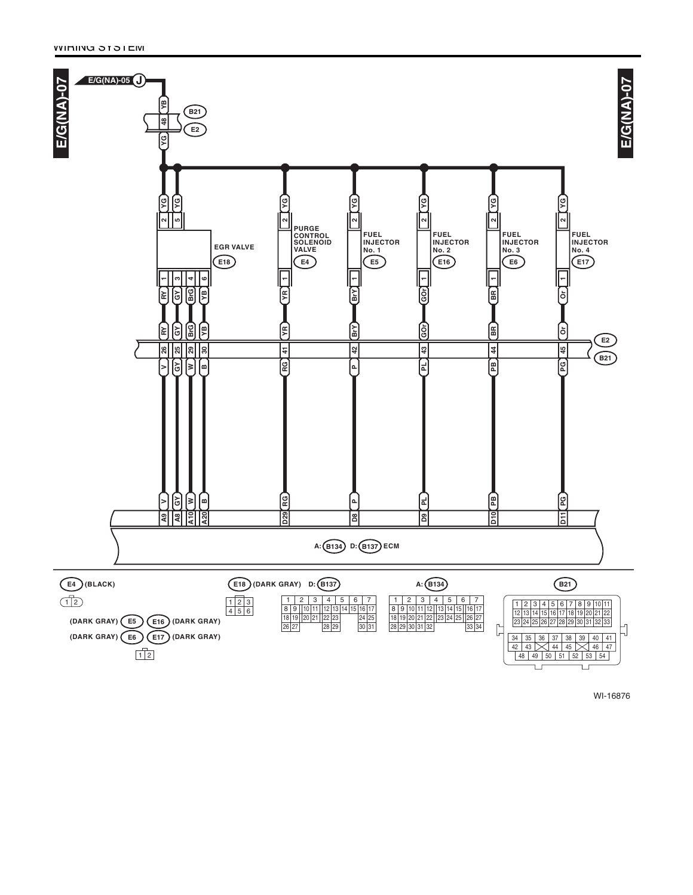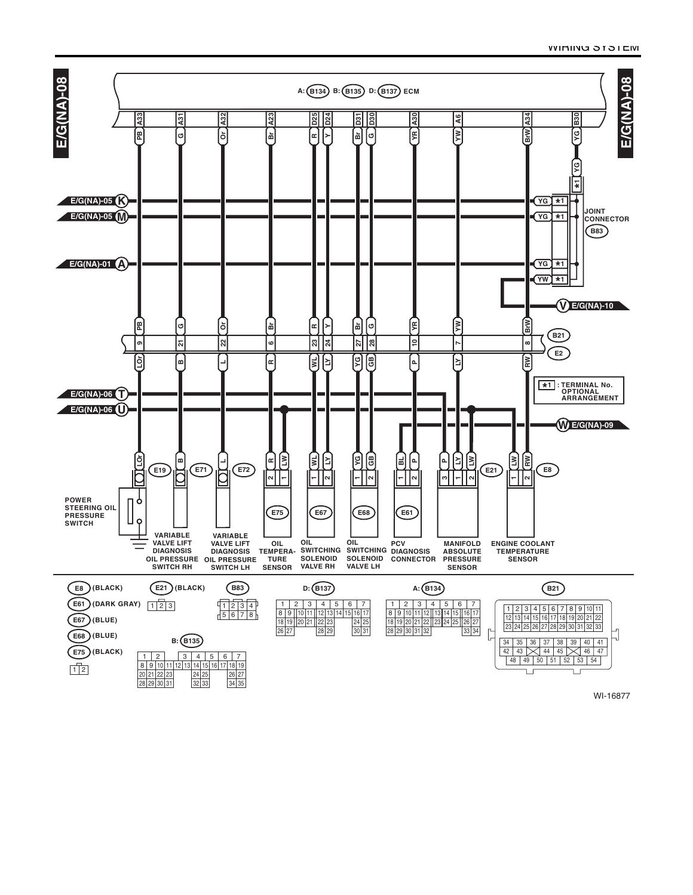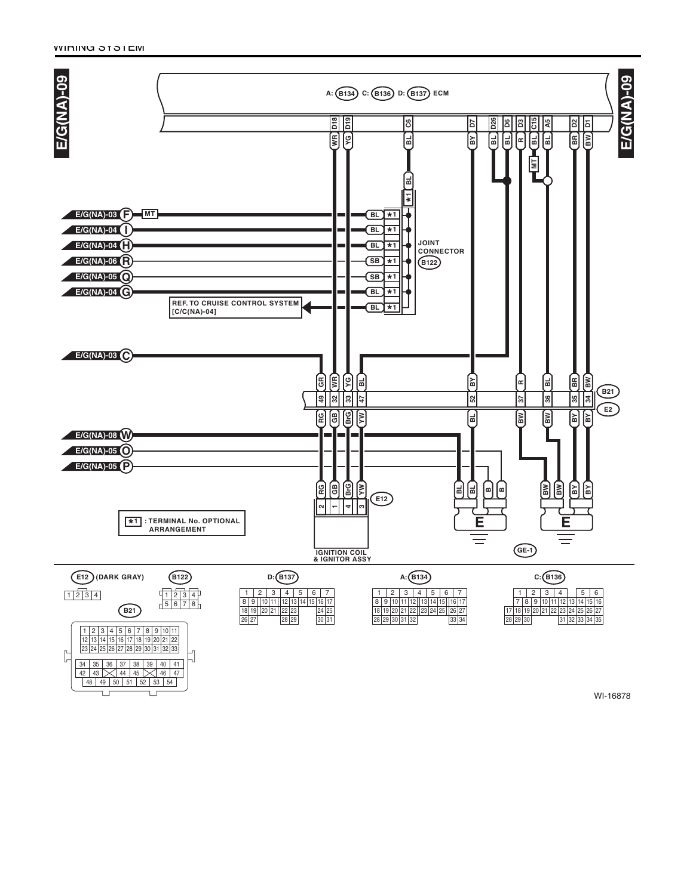Ē

Ţ

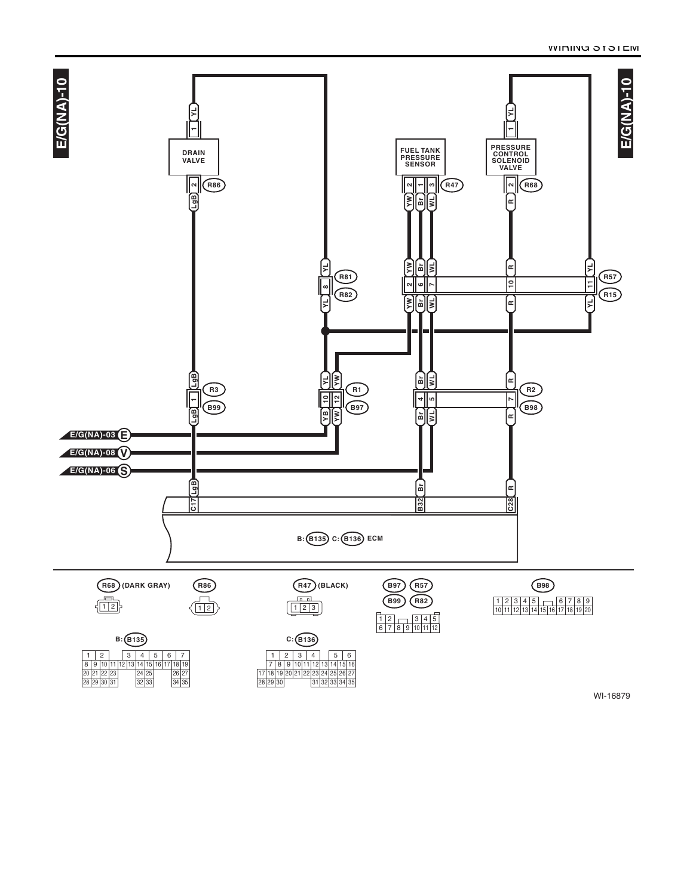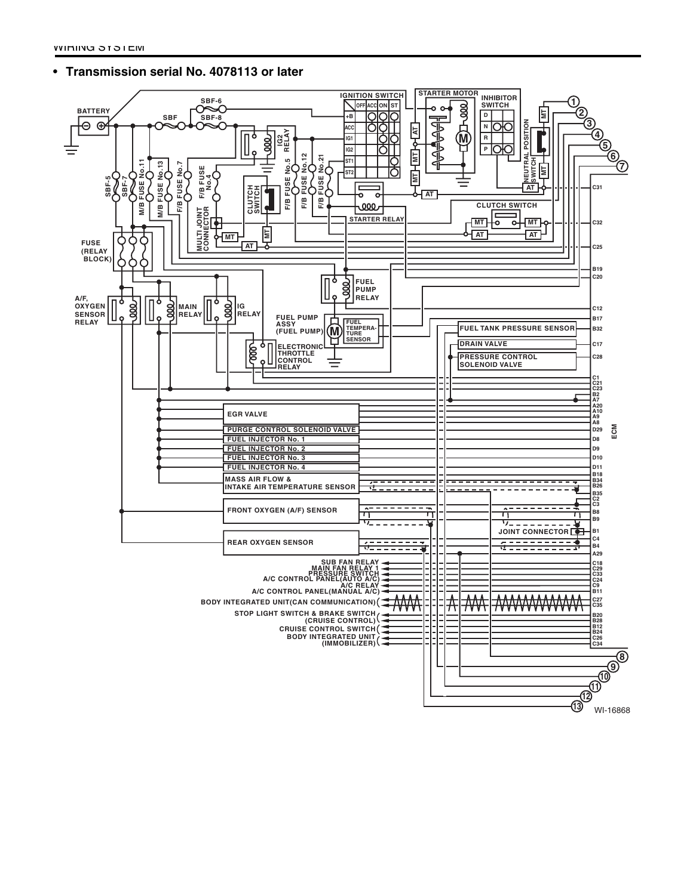## • **Transmission serial No. 4078113 or later**

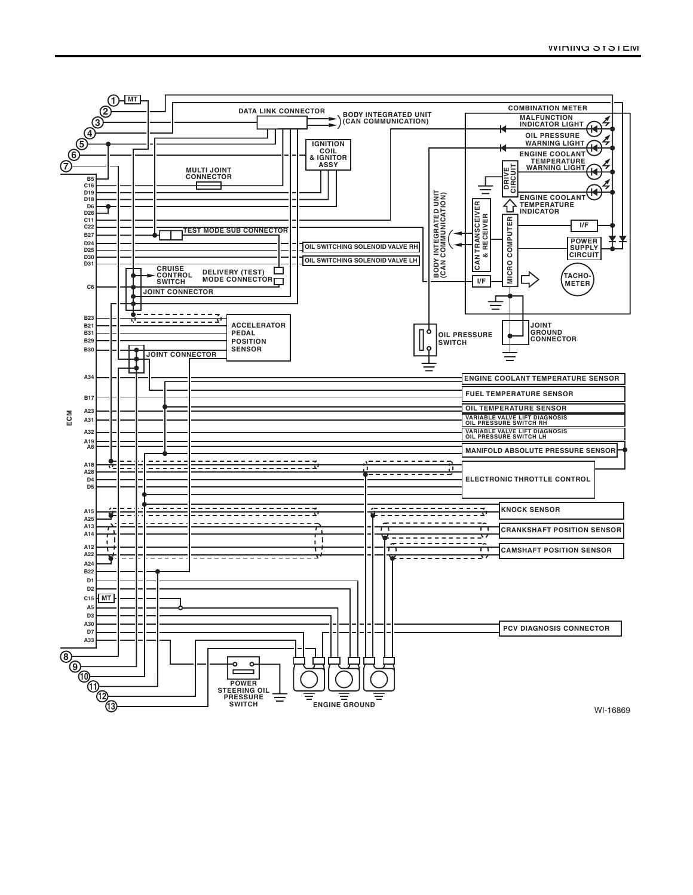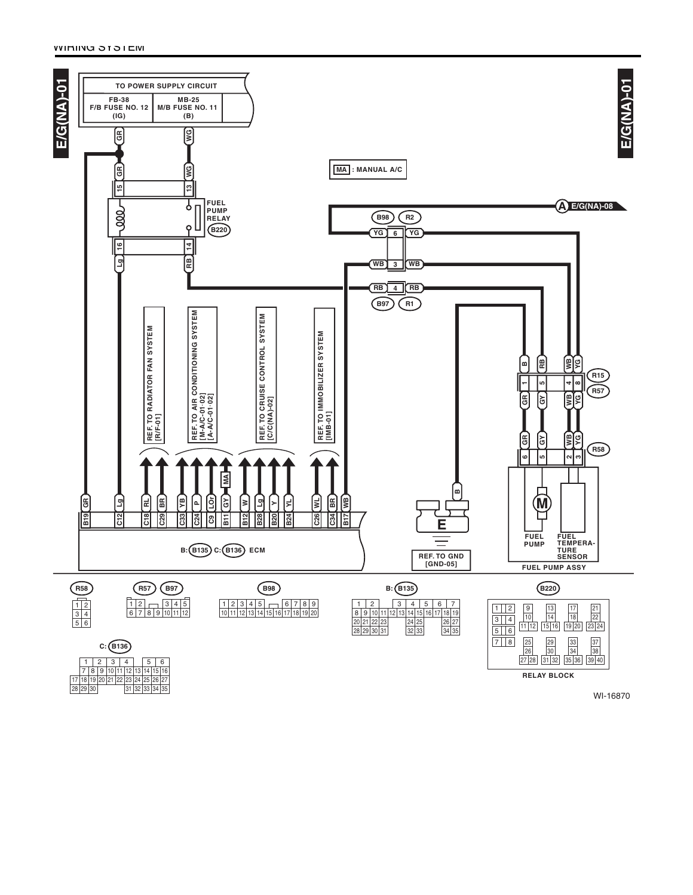25 | 26 | 27<br>33 | 34 | 35

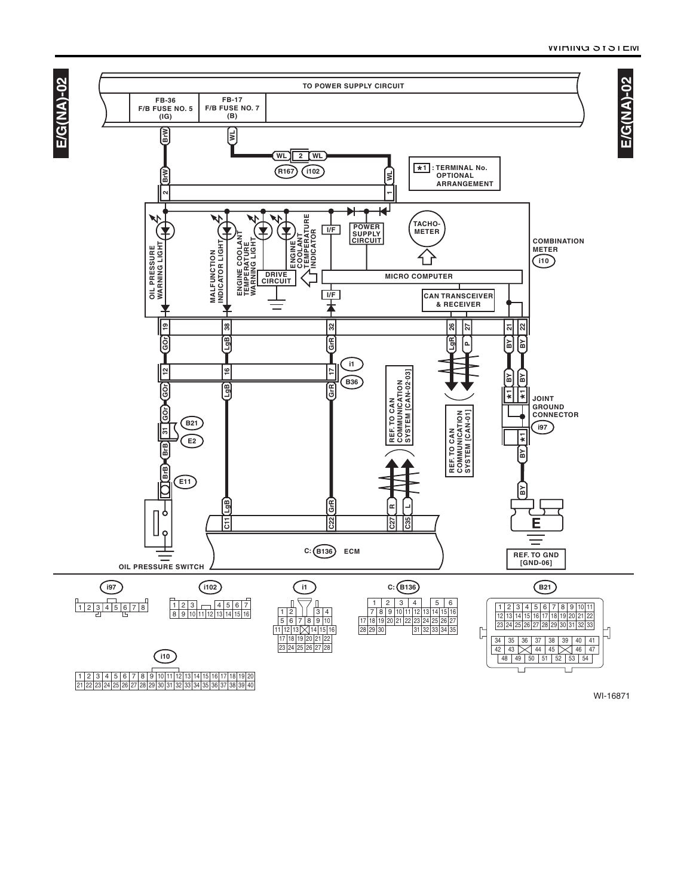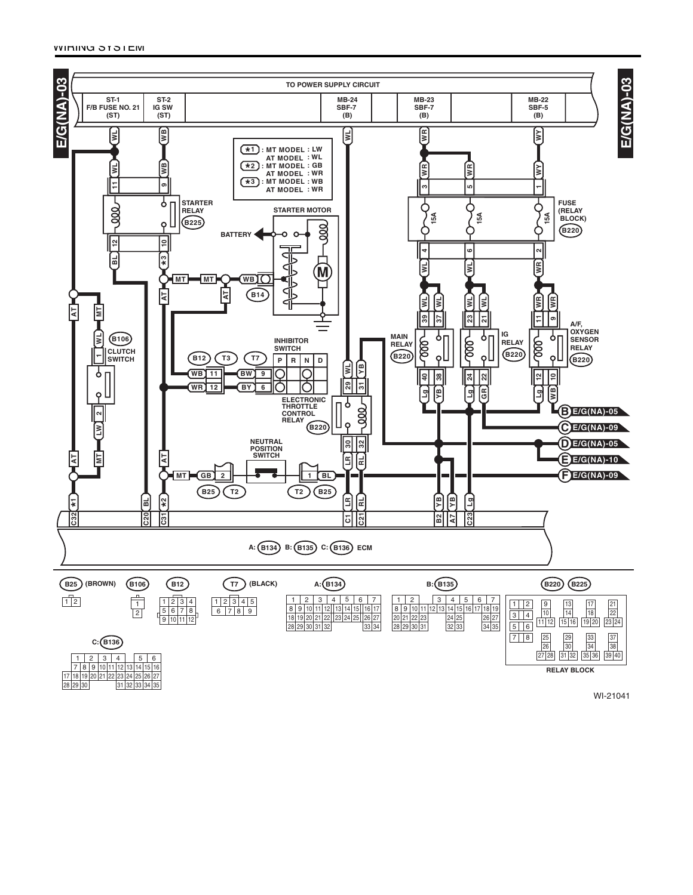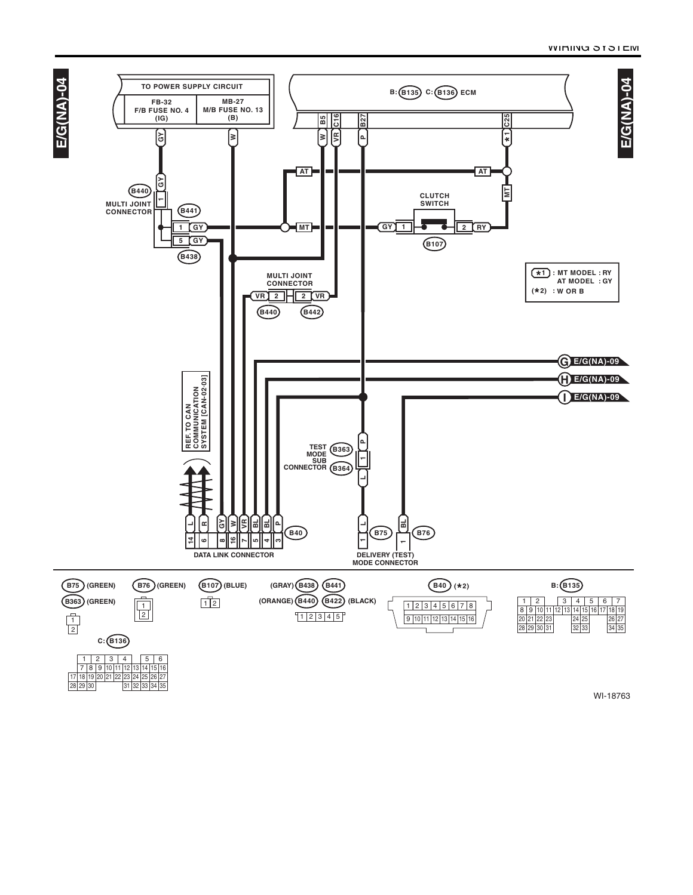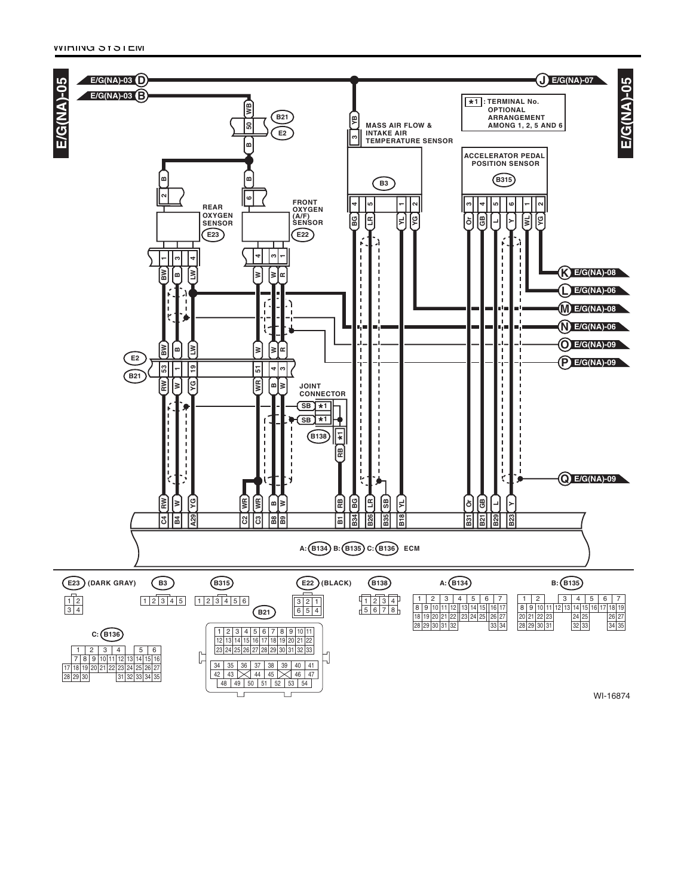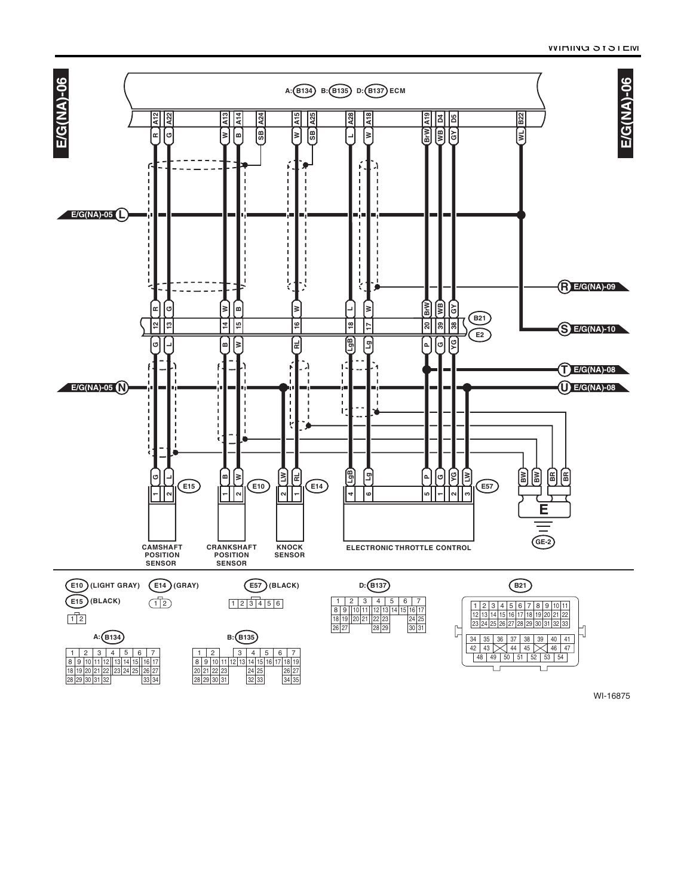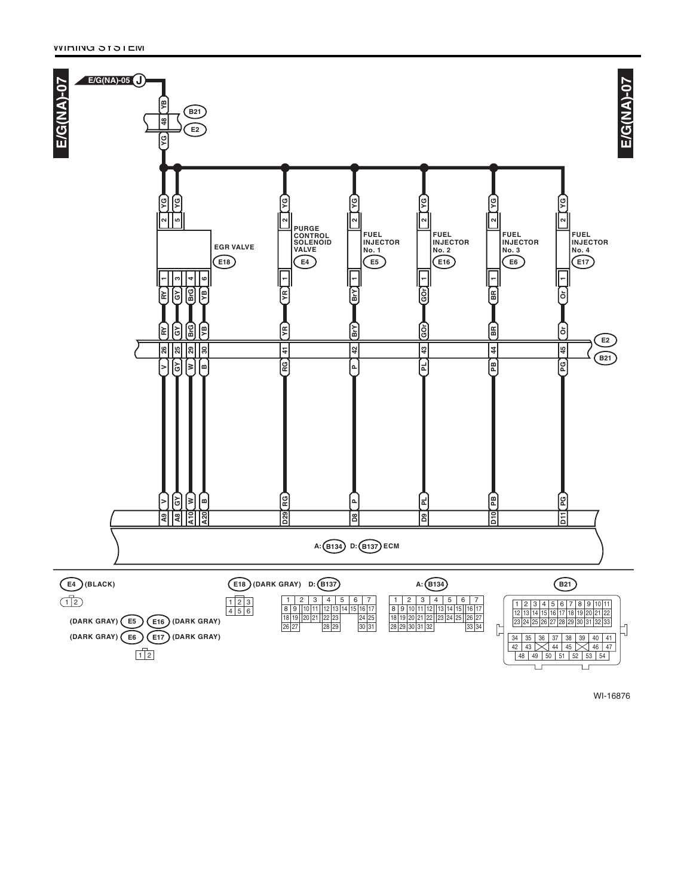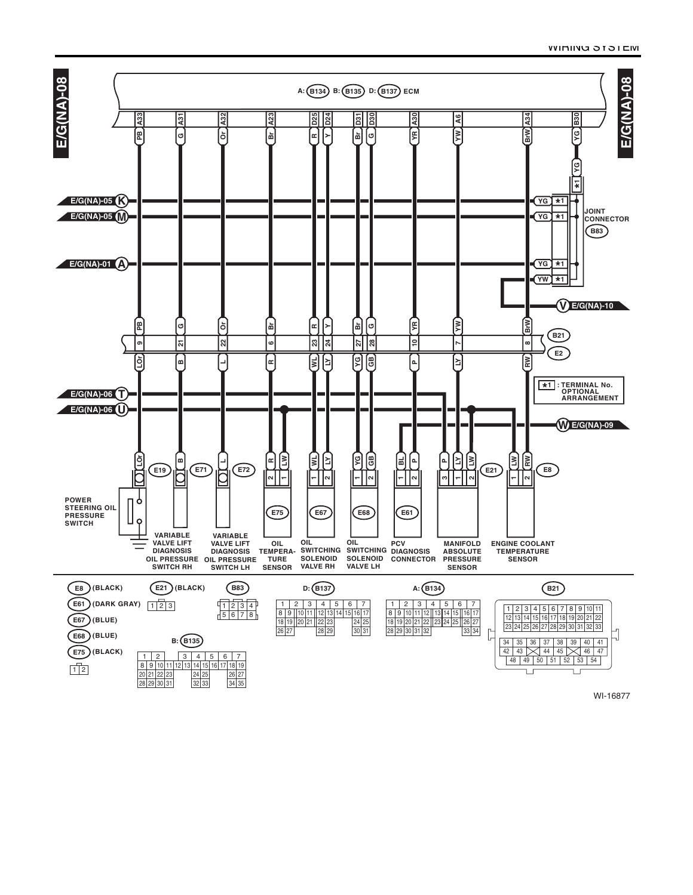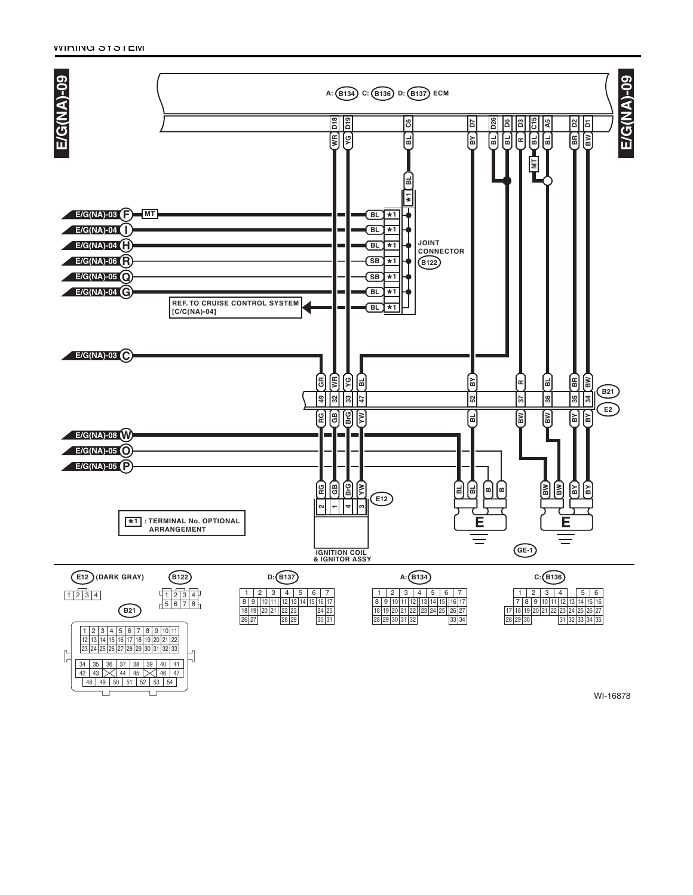Ē

Ţ